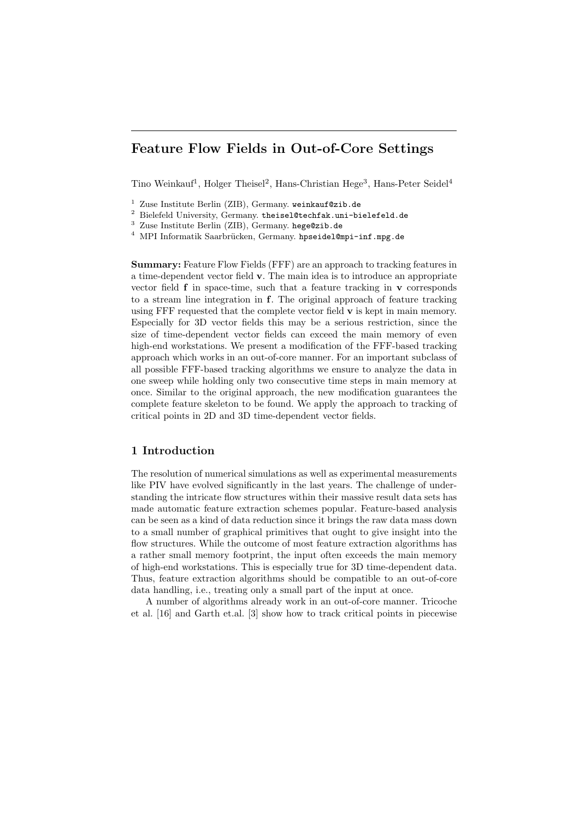# Feature Flow Fields in Out-of-Core Settings

Tino Weinkauf<sup>1</sup>, Holger Theisel<sup>2</sup>, Hans-Christian Hege<sup>3</sup>, Hans-Peter Seidel<sup>4</sup>

- <sup>1</sup> Zuse Institute Berlin (ZIB), Germany. weinkauf@zib.de
- $^2\,$  Bielefeld University, Germany. theisel@techfak.uni-bielefeld.de
- <sup>3</sup> Zuse Institute Berlin (ZIB), Germany. hege@zib.de

<sup>4</sup> MPI Informatik Saarbrücken, Germany. hpseidel@mpi-inf.mpg.de

Summary: Feature Flow Fields (FFF) are an approach to tracking features in a time-dependent vector field v. The main idea is to introduce an appropriate vector field  $f$  in space-time, such that a feature tracking in  $\bf{v}$  corresponds to a stream line integration in f. The original approach of feature tracking using FFF requested that the complete vector field  $\bf{v}$  is kept in main memory. Especially for 3D vector fields this may be a serious restriction, since the size of time-dependent vector fields can exceed the main memory of even high-end workstations. We present a modification of the FFF-based tracking approach which works in an out-of-core manner. For an important subclass of all possible FFF-based tracking algorithms we ensure to analyze the data in one sweep while holding only two consecutive time steps in main memory at once. Similar to the original approach, the new modification guarantees the complete feature skeleton to be found. We apply the approach to tracking of critical points in 2D and 3D time-dependent vector fields.

# 1 Introduction

The resolution of numerical simulations as well as experimental measurements like PIV have evolved significantly in the last years. The challenge of understanding the intricate flow structures within their massive result data sets has made automatic feature extraction schemes popular. Feature-based analysis can be seen as a kind of data reduction since it brings the raw data mass down to a small number of graphical primitives that ought to give insight into the flow structures. While the outcome of most feature extraction algorithms has a rather small memory footprint, the input often exceeds the main memory of high-end workstations. This is especially true for 3D time-dependent data. Thus, feature extraction algorithms should be compatible to an out-of-core data handling, i.e., treating only a small part of the input at once.

A number of algorithms already work in an out-of-core manner. Tricoche et al. [16] and Garth et.al. [3] show how to track critical points in piecewise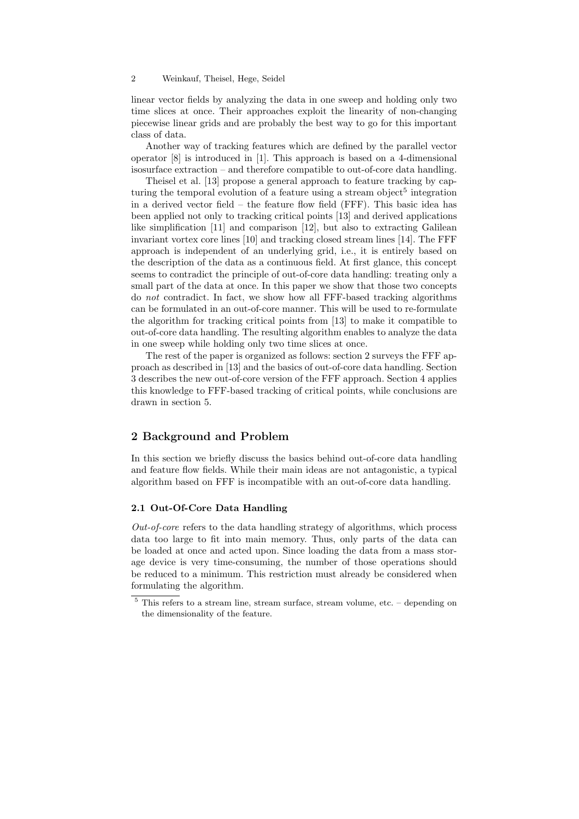linear vector fields by analyzing the data in one sweep and holding only two time slices at once. Their approaches exploit the linearity of non-changing piecewise linear grids and are probably the best way to go for this important class of data.

Another way of tracking features which are defined by the parallel vector operator [8] is introduced in [1]. This approach is based on a 4-dimensional isosurface extraction – and therefore compatible to out-of-core data handling.

Theisel et al. [13] propose a general approach to feature tracking by capturing the temporal evolution of a feature using a stream object<sup>5</sup> integration in a derived vector field – the feature flow field (FFF). This basic idea has been applied not only to tracking critical points [13] and derived applications like simplification [11] and comparison [12], but also to extracting Galilean invariant vortex core lines [10] and tracking closed stream lines [14]. The FFF approach is independent of an underlying grid, i.e., it is entirely based on the description of the data as a continuous field. At first glance, this concept seems to contradict the principle of out-of-core data handling: treating only a small part of the data at once. In this paper we show that those two concepts do not contradict. In fact, we show how all FFF-based tracking algorithms can be formulated in an out-of-core manner. This will be used to re-formulate the algorithm for tracking critical points from [13] to make it compatible to out-of-core data handling. The resulting algorithm enables to analyze the data in one sweep while holding only two time slices at once.

The rest of the paper is organized as follows: section 2 surveys the FFF approach as described in [13] and the basics of out-of-core data handling. Section 3 describes the new out-of-core version of the FFF approach. Section 4 applies this knowledge to FFF-based tracking of critical points, while conclusions are drawn in section 5.

# 2 Background and Problem

In this section we briefly discuss the basics behind out-of-core data handling and feature flow fields. While their main ideas are not antagonistic, a typical algorithm based on FFF is incompatible with an out-of-core data handling.

### 2.1 Out-Of-Core Data Handling

 $Out-of-core$  refers to the data handling strategy of algorithms, which process data too large to fit into main memory. Thus, only parts of the data can be loaded at once and acted upon. Since loading the data from a mass storage device is very time-consuming, the number of those operations should be reduced to a minimum. This restriction must already be considered when formulating the algorithm.

 $\frac{5}{6}$  This refers to a stream line, stream surface, stream volume, etc. – depending on the dimensionality of the feature.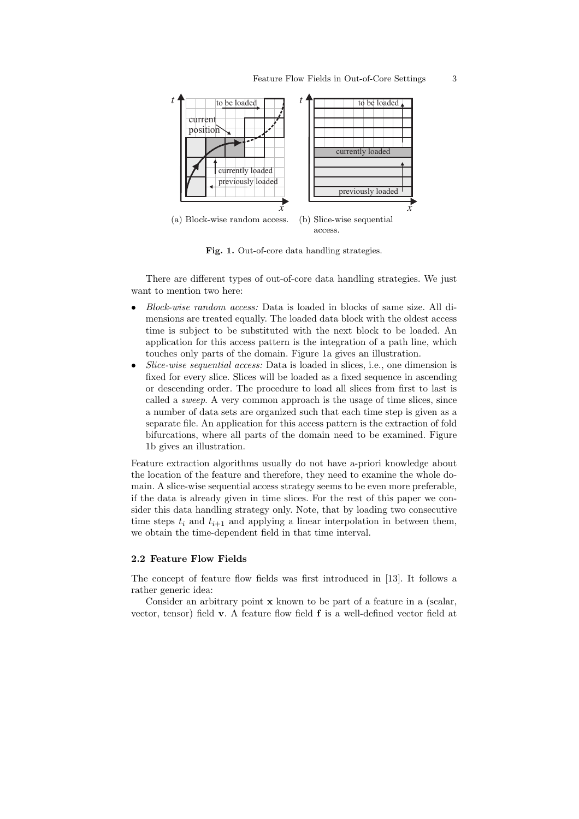

Fig. 1. Out-of-core data handling strategies.

There are different types of out-of-core data handling strategies. We just want to mention two here:

- Block-wise random access: Data is loaded in blocks of same size. All dimensions are treated equally. The loaded data block with the oldest access time is subject to be substituted with the next block to be loaded. An application for this access pattern is the integration of a path line, which touches only parts of the domain. Figure 1a gives an illustration.
- Slice-wise sequential access: Data is loaded in slices, i.e., one dimension is fixed for every slice. Slices will be loaded as a fixed sequence in ascending or descending order. The procedure to load all slices from first to last is called a sweep. A very common approach is the usage of time slices, since a number of data sets are organized such that each time step is given as a separate file. An application for this access pattern is the extraction of fold bifurcations, where all parts of the domain need to be examined. Figure 1b gives an illustration.

Feature extraction algorithms usually do not have a-priori knowledge about the location of the feature and therefore, they need to examine the whole domain. A slice-wise sequential access strategy seems to be even more preferable, if the data is already given in time slices. For the rest of this paper we consider this data handling strategy only. Note, that by loading two consecutive time steps  $t_i$  and  $t_{i+1}$  and applying a linear interpolation in between them, we obtain the time-dependent field in that time interval.

#### 2.2 Feature Flow Fields

The concept of feature flow fields was first introduced in [13]. It follows a rather generic idea:

Consider an arbitrary point **x** known to be part of a feature in a (scalar, vector, tensor) field v. A feature flow field f is a well-defined vector field at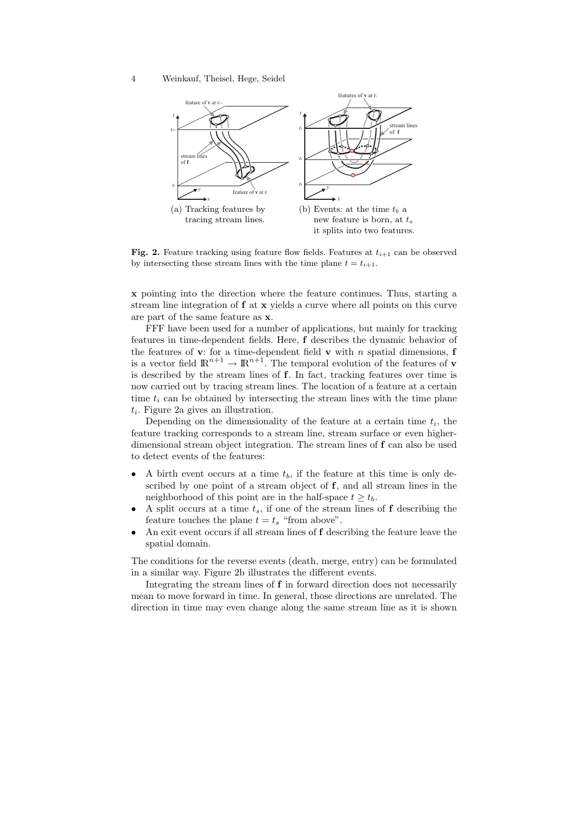

**Fig. 2.** Feature tracking using feature flow fields. Features at  $t_{i+1}$  can be observed by intersecting these stream lines with the time plane  $t = t_{i+1}$ .

x pointing into the direction where the feature continues. Thus, starting a stream line integration of  $f$  at  $x$  yields a curve where all points on this curve are part of the same feature as x.

FFF have been used for a number of applications, but mainly for tracking features in time-dependent fields. Here, f describes the dynamic behavior of the features of  $\mathbf v$ : for a time-dependent field  $\mathbf v$  with  $n$  spatial dimensions,  $\mathbf f$ is a vector field  $\mathbb{R}^{n+1} \to \mathbb{R}^{n+1}$ . The temporal evolution of the features of **v** is described by the stream lines of f. In fact, tracking features over time is now carried out by tracing stream lines. The location of a feature at a certain time  $t_i$  can be obtained by intersecting the stream lines with the time plane  $t_i$ . Figure 2a gives an illustration.

Depending on the dimensionality of the feature at a certain time  $t_i$ , the feature tracking corresponds to a stream line, stream surface or even higherdimensional stream object integration. The stream lines of f can also be used to detect events of the features:

- A birth event occurs at a time  $t<sub>b</sub>$ , if the feature at this time is only described by one point of a stream object of f, and all stream lines in the neighborhood of this point are in the half-space  $t \geq t_b$ .
- A split occurs at a time  $t_s$ , if one of the stream lines of  $f$  describing the feature touches the plane  $t = t_s$  "from above".
- An exit event occurs if all stream lines of f describing the feature leave the spatial domain.

The conditions for the reverse events (death, merge, entry) can be formulated in a similar way. Figure 2b illustrates the different events.

Integrating the stream lines of f in forward direction does not necessarily mean to move forward in time. In general, those directions are unrelated. The direction in time may even change along the same stream line as it is shown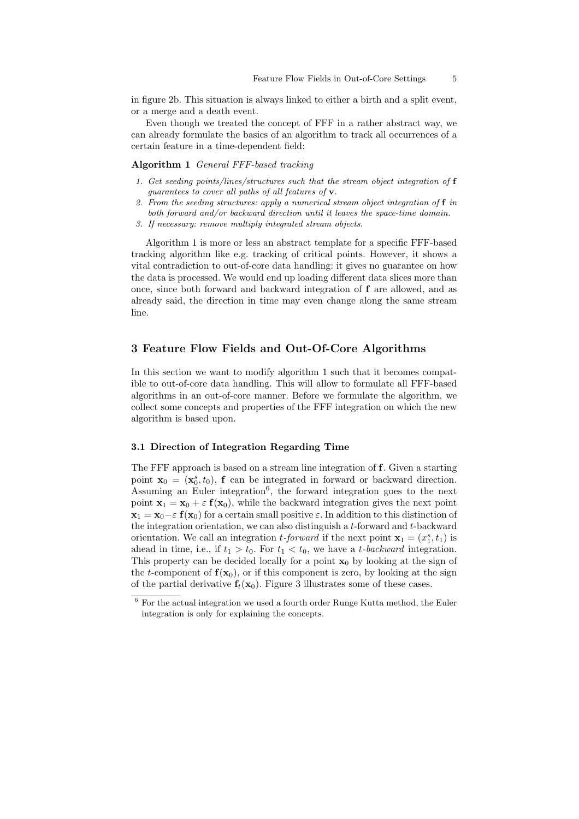in figure 2b. This situation is always linked to either a birth and a split event, or a merge and a death event.

Even though we treated the concept of FFF in a rather abstract way, we can already formulate the basics of an algorithm to track all occurrences of a certain feature in a time-dependent field:

#### Algorithm 1 General FFF-based tracking

- 1. Get seeding points/lines/structures such that the stream object integration of f guarantees to cover all paths of all features of v.
- 2. From the seeding structures: apply a numerical stream object integration of f in both forward and/or backward direction until it leaves the space-time domain.
- 3. If necessary: remove multiply integrated stream objects.

Algorithm 1 is more or less an abstract template for a specific FFF-based tracking algorithm like e.g. tracking of critical points. However, it shows a vital contradiction to out-of-core data handling: it gives no guarantee on how the data is processed. We would end up loading different data slices more than once, since both forward and backward integration of f are allowed, and as already said, the direction in time may even change along the same stream line.

## 3 Feature Flow Fields and Out-Of-Core Algorithms

In this section we want to modify algorithm 1 such that it becomes compatible to out-of-core data handling. This will allow to formulate all FFF-based algorithms in an out-of-core manner. Before we formulate the algorithm, we collect some concepts and properties of the FFF integration on which the new algorithm is based upon.

#### 3.1 Direction of Integration Regarding Time

The FFF approach is based on a stream line integration of f. Given a starting point  $\mathbf{x}_0 = (\mathbf{x}_0^s, t_0)$ , f can be integrated in forward or backward direction. Assuming an Euler integration<sup>6</sup>, the forward integration goes to the next point  $\mathbf{x}_1 = \mathbf{x}_0 + \varepsilon \mathbf{f}(\mathbf{x}_0)$ , while the backward integration gives the next point  $x_1 = x_0 - \varepsilon f(x_0)$  for a certain small positive  $\varepsilon$ . In addition to this distinction of the integration orientation, we can also distinguish a t-forward and t-backward orientation. We call an integration *t*-forward if the next point  $\mathbf{x}_1 = (x_1^s, t_1)$  is ahead in time, i.e., if  $t_1 > t_0$ . For  $t_1 < t_0$ , we have a *t*-backward integration. This property can be decided locally for a point  $x_0$  by looking at the sign of the t-component of  $f(x_0)$ , or if this component is zero, by looking at the sign of the partial derivative  $f_t(\mathbf{x}_0)$ . Figure 3 illustrates some of these cases.

 $^{\rm 6}$  For the actual integration we used a fourth order Runge Kutta method, the Euler integration is only for explaining the concepts.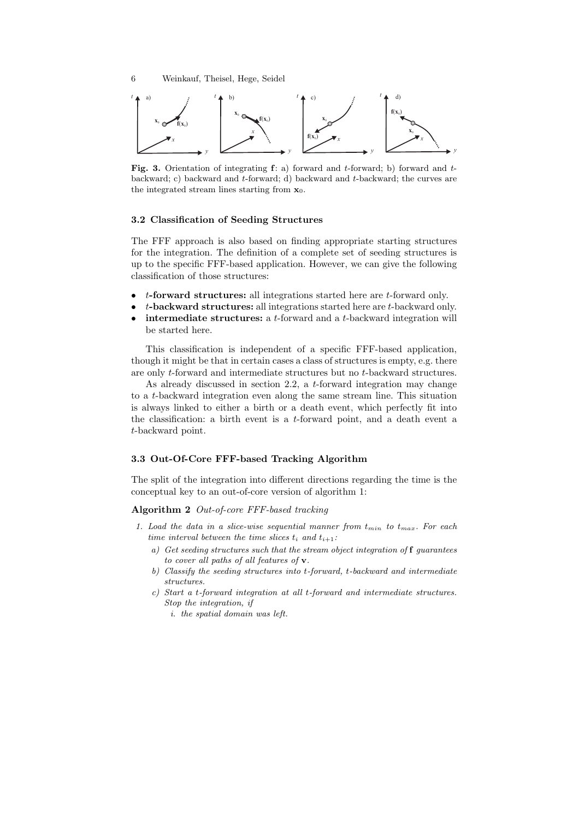

Fig. 3. Orientation of integrating f: a) forward and t-forward; b) forward and tbackward; c) backward and t-forward; d) backward and t-backward; the curves are the integrated stream lines starting from  $x_0$ .

#### 3.2 Classification of Seeding Structures

The FFF approach is also based on finding appropriate starting structures for the integration. The definition of a complete set of seeding structures is up to the specific FFF-based application. However, we can give the following classification of those structures:

- t-forward structures: all integrations started here are t-forward only.
- t-backward structures: all integrations started here are t-backward only.
- **intermediate structures:** a  $t$ -forward and a  $t$ -backward integration will be started here.

This classification is independent of a specific FFF-based application, though it might be that in certain cases a class of structures is empty, e.g. there are only t-forward and intermediate structures but no t-backward structures.

As already discussed in section 2.2, a t-forward integration may change to a t-backward integration even along the same stream line. This situation is always linked to either a birth or a death event, which perfectly fit into the classification: a birth event is a  $t$ -forward point, and a death event a t-backward point.

#### 3.3 Out-Of-Core FFF-based Tracking Algorithm

The split of the integration into different directions regarding the time is the conceptual key to an out-of-core version of algorithm 1:

Algorithm 2 Out-of-core FFF-based tracking

- 1. Load the data in a slice-wise sequential manner from  $t_{min}$  to  $t_{max}$ . For each time interval between the time slices  $t_i$  and  $t_{i+1}$ :
	- a) Get seeding structures such that the stream object integration of f guarantees to cover all paths of all features of v.
	- b) Classify the seeding structures into t-forward, t-backward and intermediate structures.
	- c) Start a t-forward integration at all t-forward and intermediate structures. Stop the integration, if
		- i. the spatial domain was left.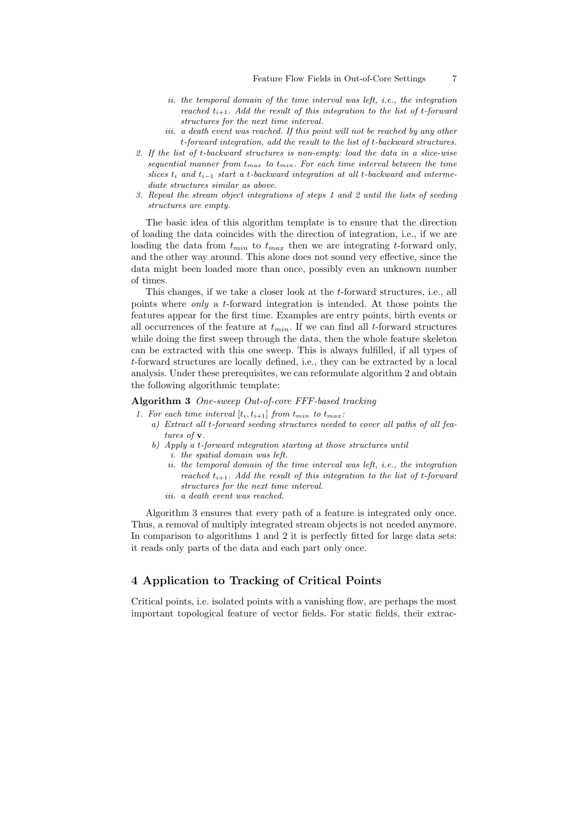- ii. the temporal domain of the time interval was left, i.e., the integration reached  $t_{i+1}$ . Add the result of this integration to the list of t-forward structures for the next time interval.
- iii. a death event was reached. If this point will not be reached by any other t-forward integration, add the result to the list of t-backward structures.
- 2. If the list of t-backward structures is non-empty: load the data in a slice-wise sequential manner from  $t_{max}$  to  $t_{min}$ . For each time interval between the time slices  $t_i$  and  $t_{i-1}$  start a t-backward integration at all t-backward and intermediate structures similar as above.
- 3. Repeat the stream object integrations of steps 1 and 2 until the lists of seeding structures are empty.

The basic idea of this algorithm template is to ensure that the direction of loading the data coincides with the direction of integration, i.e., if we are loading the data from  $t_{min}$  to  $t_{max}$  then we are integrating t-forward only, and the other way around. This alone does not sound very effective, since the data might been loaded more than once, possibly even an unknown number of times.

This changes, if we take a closer look at the t-forward structures, i.e., all points where only a t-forward integration is intended. At those points the features appear for the first time. Examples are entry points, birth events or all occurrences of the feature at  $t_{min}$ . If we can find all t-forward structures while doing the first sweep through the data, then the whole feature skeleton can be extracted with this one sweep. This is always fulfilled, if all types of t-forward structures are locally defined, i.e., they can be extracted by a local analysis. Under these prerequisites, we can reformulate algorithm 2 and obtain the following algorithmic template:

#### Algorithm 3 One-sweep Out-of-core FFF-based tracking

- 1. For each time interval  $[t_i, t_{i+1}]$  from  $t_{min}$  to  $t_{max}$ :
	- a) Extract all t-forward seeding structures needed to cover all paths of all features of v.
	- b) Apply a t-forward integration starting at those structures until i. the spatial domain was left.
		- ii. the temporal domain of the time interval was left, i.e., the integration reached  $t_{i+1}$ . Add the result of this integration to the list of t-forward structures for the next time interval.
		- iii. a death event was reached.

Algorithm 3 ensures that every path of a feature is integrated only once. Thus, a removal of multiply integrated stream objects is not needed anymore. In comparison to algorithms 1 and 2 it is perfectly fitted for large data sets: it reads only parts of the data and each part only once.

## 4 Application to Tracking of Critical Points

Critical points, i.e. isolated points with a vanishing flow, are perhaps the most important topological feature of vector fields. For static fields, their extrac-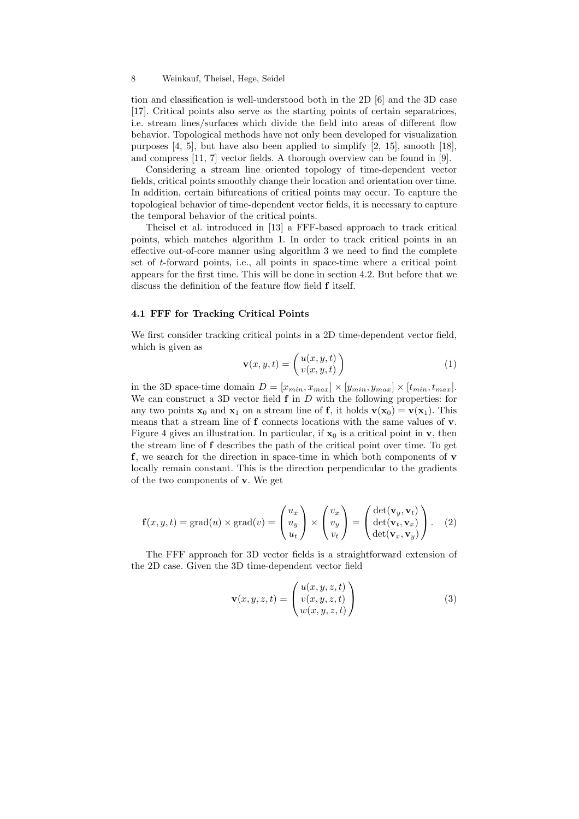tion and classification is well-understood both in the 2D [6] and the 3D case [17]. Critical points also serve as the starting points of certain separatrices, i.e. stream lines/surfaces which divide the field into areas of different flow behavior. Topological methods have not only been developed for visualization purposes [4, 5], but have also been applied to simplify [2, 15], smooth [18], and compress [11, 7] vector fields. A thorough overview can be found in [9].

Considering a stream line oriented topology of time-dependent vector fields, critical points smoothly change their location and orientation over time. In addition, certain bifurcations of critical points may occur. To capture the topological behavior of time-dependent vector fields, it is necessary to capture the temporal behavior of the critical points.

Theisel et al. introduced in [13] a FFF-based approach to track critical points, which matches algorithm 1. In order to track critical points in an effective out-of-core manner using algorithm 3 we need to find the complete set of t-forward points, i.e., all points in space-time where a critical point appears for the first time. This will be done in section 4.2. But before that we discuss the definition of the feature flow field f itself.

### 4.1 FFF for Tracking Critical Points

We first consider tracking critical points in a 2D time-dependent vector field, which is given as

$$
\mathbf{v}(x, y, t) = \begin{pmatrix} u(x, y, t) \\ v(x, y, t) \end{pmatrix}
$$
 (1)

in the 3D space-time domain  $D = [x_{min}, x_{max}] \times [y_{min}, y_{max}] \times [t_{min}, t_{max}]$ . We can construct a 3D vector field  $f$  in  $D$  with the following properties: for any two points  $x_0$  and  $x_1$  on a stream line of f, it holds  $v(x_0) = v(x_1)$ . This means that a stream line of f connects locations with the same values of v. Figure 4 gives an illustration. In particular, if  $\mathbf{x}_0$  is a critical point in **v**, then the stream line of f describes the path of the critical point over time. To get f, we search for the direction in space-time in which both components of  $\bf{v}$ locally remain constant. This is the direction perpendicular to the gradients of the two components of v. We get

$$
\mathbf{f}(x, y, t) = \text{grad}(u) \times \text{grad}(v) = \begin{pmatrix} u_x \\ u_y \\ u_t \end{pmatrix} \times \begin{pmatrix} v_x \\ v_y \\ v_t \end{pmatrix} = \begin{pmatrix} \det(\mathbf{v}_y, \mathbf{v}_t) \\ \det(\mathbf{v}_t, \mathbf{v}_x) \\ \det(\mathbf{v}_x, \mathbf{v}_y) \end{pmatrix} . \quad (2)
$$

The FFF approach for 3D vector fields is a straightforward extension of the 2D case. Given the 3D time-dependent vector field

$$
\mathbf{v}(x, y, z, t) = \begin{pmatrix} u(x, y, z, t) \\ v(x, y, z, t) \\ w(x, y, z, t) \end{pmatrix}
$$
 (3)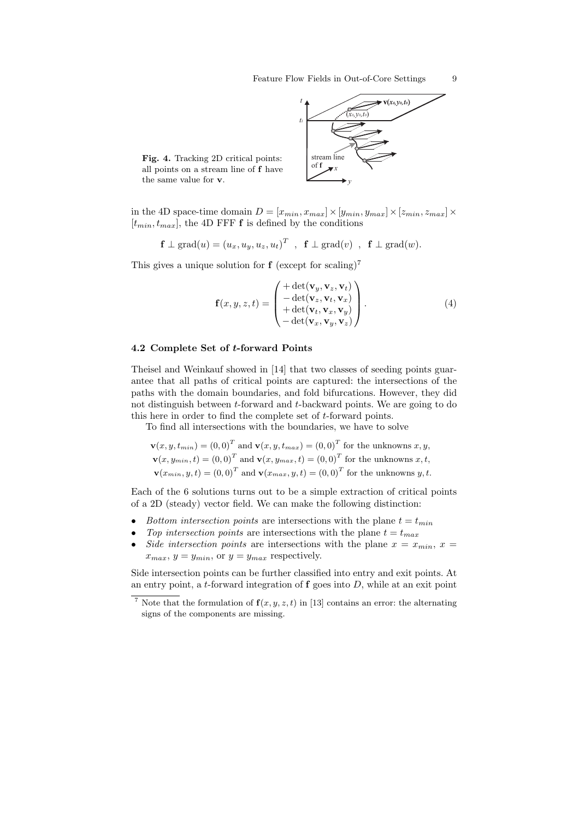

Fig. 4. Tracking 2D critical points: all points on a stream line of f have the same value for v.

in the 4D space-time domain  $D = [x_{min}, x_{max}] \times [y_{min}, y_{max}] \times [z_{min}, z_{max}] \times$  $[t_{min}, t_{max}]$ , the 4D FFF f is defined by the conditions

$$
\mathbf{f} \perp \text{grad}(u) = (u_x, u_y, u_z, u_t)^T , \ \mathbf{f} \perp \text{grad}(v) , \ \mathbf{f} \perp \text{grad}(w).
$$

This gives a unique solution for  $f$  (except for scaling)<sup>7</sup>

$$
\mathbf{f}(x, y, z, t) = \begin{pmatrix} + \det(\mathbf{v}_y, \mathbf{v}_z, \mathbf{v}_t) \\ - \det(\mathbf{v}_z, \mathbf{v}_t, \mathbf{v}_x) \\ + \det(\mathbf{v}_t, \mathbf{v}_x, \mathbf{v}_y) \\ - \det(\mathbf{v}_x, \mathbf{v}_y, \mathbf{v}_z) \end{pmatrix} .
$$
 (4)

#### 4.2 Complete Set of t-forward Points

Theisel and Weinkauf showed in [14] that two classes of seeding points guarantee that all paths of critical points are captured: the intersections of the paths with the domain boundaries, and fold bifurcations. However, they did not distinguish between t-forward and t-backward points. We are going to do this here in order to find the complete set of t-forward points.

To find all intersections with the boundaries, we have to solve

$$
\mathbf{v}(x, y, t_{min}) = (0, 0)^T \text{ and } \mathbf{v}(x, y, t_{max}) = (0, 0)^T \text{ for the unknowns } x, y,
$$
  

$$
\mathbf{v}(x, y_{min}, t) = (0, 0)^T \text{ and } \mathbf{v}(x, y_{max}, t) = (0, 0)^T \text{ for the unknowns } x, t,
$$
  

$$
\mathbf{v}(x_{min}, y, t) = (0, 0)^T \text{ and } \mathbf{v}(x_{max}, y, t) = (0, 0)^T \text{ for the unknowns } y, t.
$$

Each of the 6 solutions turns out to be a simple extraction of critical points of a 2D (steady) vector field. We can make the following distinction:

- Bottom intersection points are intersections with the plane  $t = t_{min}$
- Top intersection points are intersections with the plane  $t = t_{max}$
- Side intersection points are intersections with the plane  $x = x_{min}$ ,  $x =$  $x_{max}$ ,  $y = y_{min}$ , or  $y = y_{max}$  respectively.

Side intersection points can be further classified into entry and exit points. At an entry point, a t-forward integration of  $f$  goes into  $D$ , while at an exit point

<sup>&</sup>lt;sup>7</sup> Note that the formulation of  $f(x, y, z, t)$  in [13] contains an error: the alternating signs of the components are missing.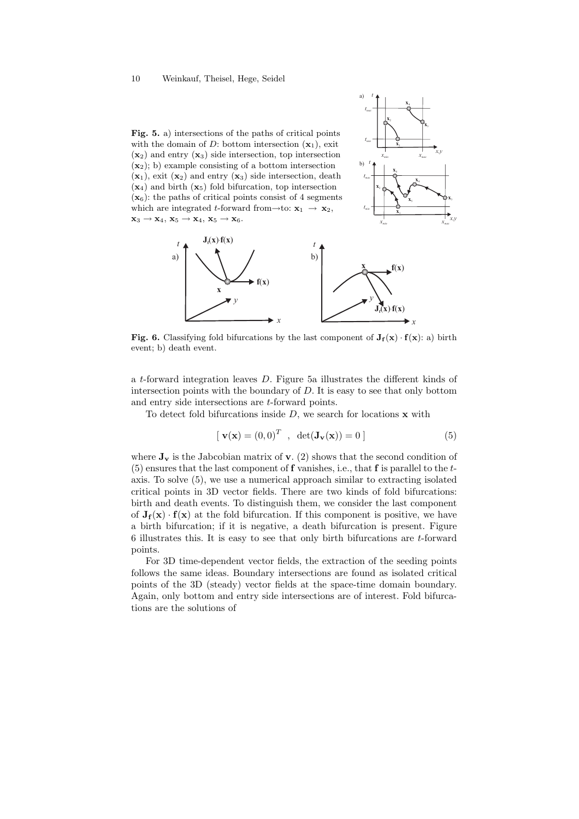Fig. 5. a) intersections of the paths of critical points with the domain of D: bottom intersection  $(\mathbf{x}_1)$ , exit  $(x_2)$  and entry  $(x_3)$  side intersection, top intersection  $(x_2)$ ; b) example consisting of a bottom intersection  $(x_1)$ , exit  $(x_2)$  and entry  $(x_3)$  side intersection, death  $(x_4)$  and birth  $(x_5)$  fold bifurcation, top intersection  $(x_6)$ : the paths of critical points consist of 4 segments which are integrated t-forward from→to:  $\mathbf{x}_1 \rightarrow \mathbf{x}_2$ ,  $\mathbf{x}_3 \rightarrow \mathbf{x}_4, \mathbf{x}_5 \rightarrow \mathbf{x}_4, \mathbf{x}_5 \rightarrow \mathbf{x}_6.$ 





**Fig. 6.** Classifying fold bifurcations by the last component of  $J_f(x) \cdot f(x)$ : a) birth event; b) death event.

a t-forward integration leaves D. Figure 5a illustrates the different kinds of intersection points with the boundary of D. It is easy to see that only bottom and entry side intersections are t-forward points.

To detect fold bifurcations inside  $D$ , we search for locations  $x$  with

$$
[\mathbf{v}(\mathbf{x}) = (0,0)^T , \ \det(\mathbf{J}_{\mathbf{v}}(\mathbf{x})) = 0 ]
$$
 (5)

where  $J_v$  is the Jabcobian matrix of v. (2) shows that the second condition of  $(5)$  ensures that the last component of f vanishes, i.e., that f is parallel to the taxis. To solve (5), we use a numerical approach similar to extracting isolated critical points in 3D vector fields. There are two kinds of fold bifurcations: birth and death events. To distinguish them, we consider the last component of  $J_f(x) \cdot f(x)$  at the fold bifurcation. If this component is positive, we have a birth bifurcation; if it is negative, a death bifurcation is present. Figure 6 illustrates this. It is easy to see that only birth bifurcations are t-forward points.

For 3D time-dependent vector fields, the extraction of the seeding points follows the same ideas. Boundary intersections are found as isolated critical points of the 3D (steady) vector fields at the space-time domain boundary. Again, only bottom and entry side intersections are of interest. Fold bifurcations are the solutions of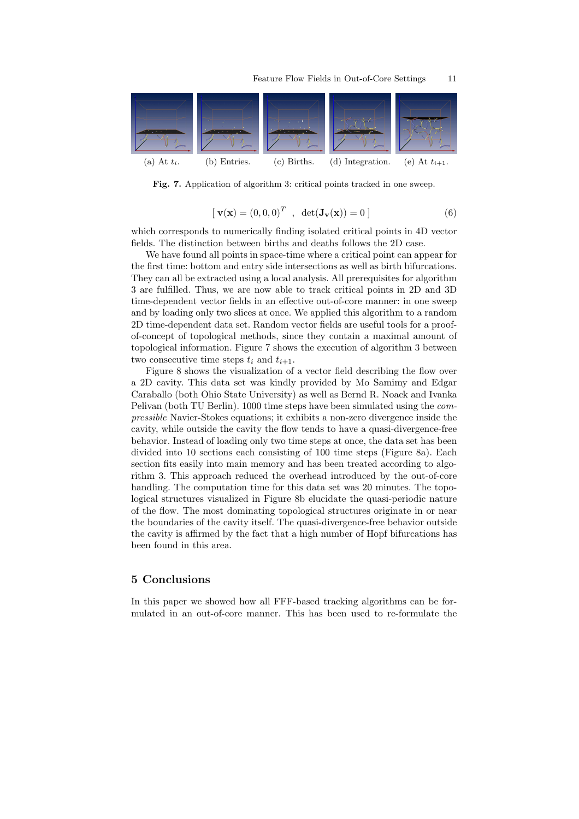

Fig. 7. Application of algorithm 3: critical points tracked in one sweep.

$$
\left[\mathbf{v}(\mathbf{x}) = (0,0,0)^{T}\right], \ \det(\mathbf{J}_{\mathbf{v}}(\mathbf{x})) = 0\right]
$$
 (6)

which corresponds to numerically finding isolated critical points in 4D vector fields. The distinction between births and deaths follows the 2D case.

We have found all points in space-time where a critical point can appear for the first time: bottom and entry side intersections as well as birth bifurcations. They can all be extracted using a local analysis. All prerequisites for algorithm 3 are fulfilled. Thus, we are now able to track critical points in 2D and 3D time-dependent vector fields in an effective out-of-core manner: in one sweep and by loading only two slices at once. We applied this algorithm to a random 2D time-dependent data set. Random vector fields are useful tools for a proofof-concept of topological methods, since they contain a maximal amount of topological information. Figure 7 shows the execution of algorithm 3 between two consecutive time steps  $t_i$  and  $t_{i+1}$ .

Figure 8 shows the visualization of a vector field describing the flow over a 2D cavity. This data set was kindly provided by Mo Samimy and Edgar Caraballo (both Ohio State University) as well as Bernd R. Noack and Ivanka Pelivan (both TU Berlin). 1000 time steps have been simulated using the compressible Navier-Stokes equations; it exhibits a non-zero divergence inside the cavity, while outside the cavity the flow tends to have a quasi-divergence-free behavior. Instead of loading only two time steps at once, the data set has been divided into 10 sections each consisting of 100 time steps (Figure 8a). Each section fits easily into main memory and has been treated according to algorithm 3. This approach reduced the overhead introduced by the out-of-core handling. The computation time for this data set was 20 minutes. The topological structures visualized in Figure 8b elucidate the quasi-periodic nature of the flow. The most dominating topological structures originate in or near the boundaries of the cavity itself. The quasi-divergence-free behavior outside the cavity is affirmed by the fact that a high number of Hopf bifurcations has been found in this area.

# 5 Conclusions

In this paper we showed how all FFF-based tracking algorithms can be formulated in an out-of-core manner. This has been used to re-formulate the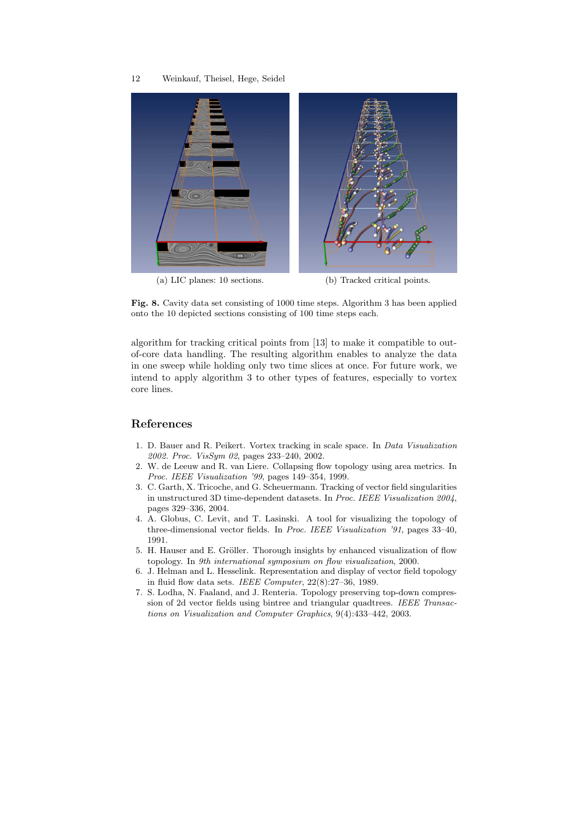

Fig. 8. Cavity data set consisting of 1000 time steps. Algorithm 3 has been applied onto the 10 depicted sections consisting of 100 time steps each.

algorithm for tracking critical points from [13] to make it compatible to outof-core data handling. The resulting algorithm enables to analyze the data in one sweep while holding only two time slices at once. For future work, we intend to apply algorithm 3 to other types of features, especially to vortex core lines.

# References

- 1. D. Bauer and R. Peikert. Vortex tracking in scale space. In Data Visualization 2002. Proc. VisSym 02, pages 233–240, 2002.
- 2. W. de Leeuw and R. van Liere. Collapsing flow topology using area metrics. In Proc. IEEE Visualization '99, pages 149–354, 1999.
- 3. C. Garth, X. Tricoche, and G. Scheuermann. Tracking of vector field singularities in unstructured 3D time-dependent datasets. In Proc. IEEE Visualization 2004, pages 329–336, 2004.
- 4. A. Globus, C. Levit, and T. Lasinski. A tool for visualizing the topology of three-dimensional vector fields. In Proc. IEEE Visualization '91, pages 33–40, 1991.
- 5. H. Hauser and E. Gröller. Thorough insights by enhanced visualization of flow topology. In 9th international symposium on flow visualization, 2000.
- 6. J. Helman and L. Hesselink. Representation and display of vector field topology in fluid flow data sets. IEEE Computer, 22(8):27–36, 1989.
- 7. S. Lodha, N. Faaland, and J. Renteria. Topology preserving top-down compression of 2d vector fields using bintree and triangular quadtrees. IEEE Transactions on Visualization and Computer Graphics, 9(4):433–442, 2003.